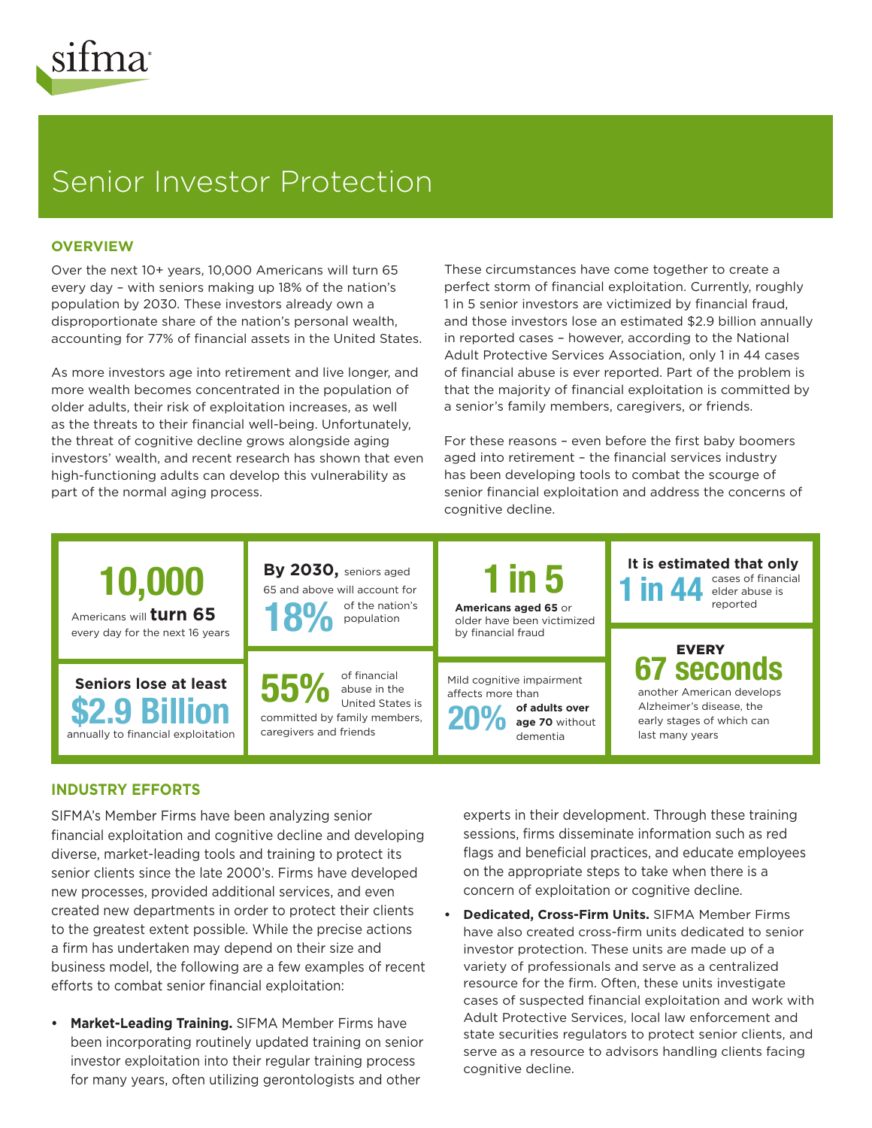

# Senior Investor Protection

# **OVERVIEW**

Over the next 10+ years, 10,000 Americans will turn 65 every day – with seniors making up 18% of the nation's population by 2030. These investors already own a disproportionate share of the nation's personal wealth, accounting for 77% of financial assets in the United States.

As more investors age into retirement and live longer, and more wealth becomes concentrated in the population of older adults, their risk of exploitation increases, as well as the threats to their financial well-being. Unfortunately, the threat of cognitive decline grows alongside aging investors' wealth, and recent research has shown that even high-functioning adults can develop this vulnerability as part of the normal aging process.

These circumstances have come together to create a perfect storm of financial exploitation. Currently, roughly 1 in 5 senior investors are victimized by financial fraud, and those investors lose an estimated \$2.9 billion annually in reported cases – however, according to the National Adult Protective Services Association, only 1 in 44 cases of financial abuse is ever reported. Part of the problem is that the majority of financial exploitation is committed by a senior's family members, caregivers, or friends.

For these reasons – even before the first baby boomers aged into retirement – the financial services industry has been developing tools to combat the scourge of senior financial exploitation and address the concerns of cognitive decline.



#### **1t is estimated that only** cases of financial elder abuse is reported

EVERY

another American develops Alzheimer's disease, the early stages of which can last many years

# **INDUSTRY EFFORTS**

SIFMA's Member Firms have been analyzing senior financial exploitation and cognitive decline and developing diverse, market-leading tools and training to protect its senior clients since the late 2000's. Firms have developed new processes, provided additional services, and even created new departments in order to protect their clients to the greatest extent possible. While the precise actions a firm has undertaken may depend on their size and business model, the following are a few examples of recent efforts to combat senior financial exploitation:

**• Market-Leading Training.** SIFMA Member Firms have been incorporating routinely updated training on senior investor exploitation into their regular training process for many years, often utilizing gerontologists and other

experts in their development. Through these training sessions, firms disseminate information such as red flags and beneficial practices, and educate employees on the appropriate steps to take when there is a concern of exploitation or cognitive decline.

**• Dedicated, Cross-Firm Units.** SIFMA Member Firms have also created cross-firm units dedicated to senior investor protection. These units are made up of a variety of professionals and serve as a centralized resource for the firm. Often, these units investigate cases of suspected financial exploitation and work with Adult Protective Services, local law enforcement and state securities regulators to protect senior clients, and serve as a resource to advisors handling clients facing cognitive decline.